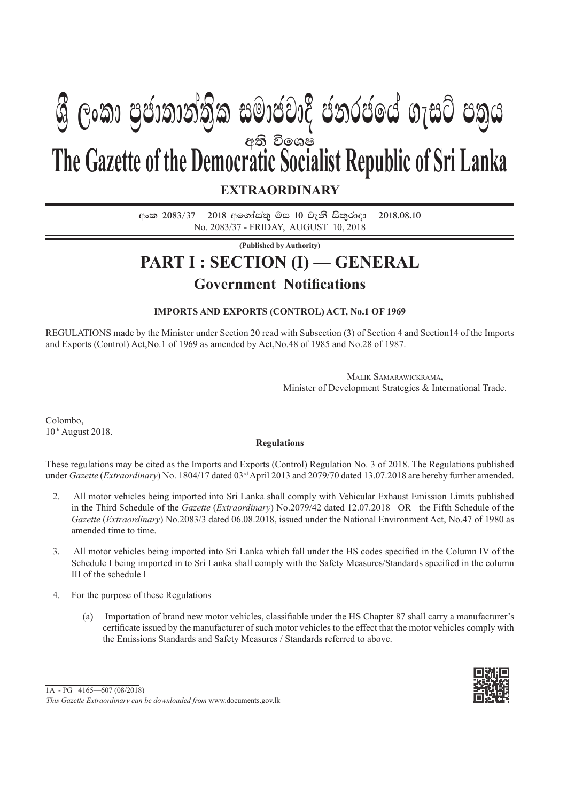# අති විලශ**ෂ EXTRAORDINARY The Gazette of the Democratic Socialist Republic of Sri Lanka**  $\mathfrak{G}$  ලංකා පුජාතාන්තික සමාජවාදී ජනරජයේ ගැසට් පතුය

අංක 2083/37 - 2018 අගෝස්තු මස 10 වැනි සිකුරාදා - 2018.08.10 No. 2083/37 - FRIDAY, AUGUST 10, 2018

**(Published by Authority)**

# **PART I : SECTION (I) — GENERAL Government Notifications**

## **IMPORTS AND EXPORTS (CONTROL) ACT, No.1 OF 1969**

REGULATIONS made by the Minister under Section 20 read with Subsection (3) of Section 4 and Section14 of the Imports and Exports (Control) Act,No.1 of 1969 as amended by Act,No.48 of 1985 and No.28 of 1987.

> MALIK SAMARAWICKRAMA**,** Minister of Development Strategies & International Trade.

Colombo,  $10<sup>th</sup>$  August 2018.

#### **Regulations**

These regulations may be cited as the Imports and Exports (Control) Regulation No. 3 of 2018. The Regulations published under *Gazette* (*Extraordinary*) No. 1804/17 dated 03rd April 2013 and 2079/70 dated 13.07.2018 are hereby further amended.

- 2. All motor vehicles being imported into Sri Lanka shall comply with Vehicular Exhaust Emission Limits published in the Third Schedule of the *Gazette* (*Extraordinary*) No.2079/42 dated 12.07.2018 OR the Fifth Schedule of the *Gazette* (*Extraordinary*) No.2083/3 dated 06.08.2018, issued under the National Environment Act, No.47 of 1980 as amended time to time.
- 3. All motor vehicles being imported into Sri Lanka which fall under the HS codes specified in the Column IV of the Schedule I being imported in to Sri Lanka shall comply with the Safety Measures/Standards specified in the column III of the schedule I
- 4. For the purpose of these Regulations
	- (a) Importation of brand new motor vehicles, classifiable under the HS Chapter 87 shall carry a manufacturer's certificate issued by the manufacturer of such motor vehicles to the effect that the motor vehicles comply with the Emissions Standards and Safety Measures / Standards referred to above.



<sup>1</sup>A - PG 4165—607 (08/2018)

*This Gazette Extraordinary can be downloaded from* www.documents.gov.lk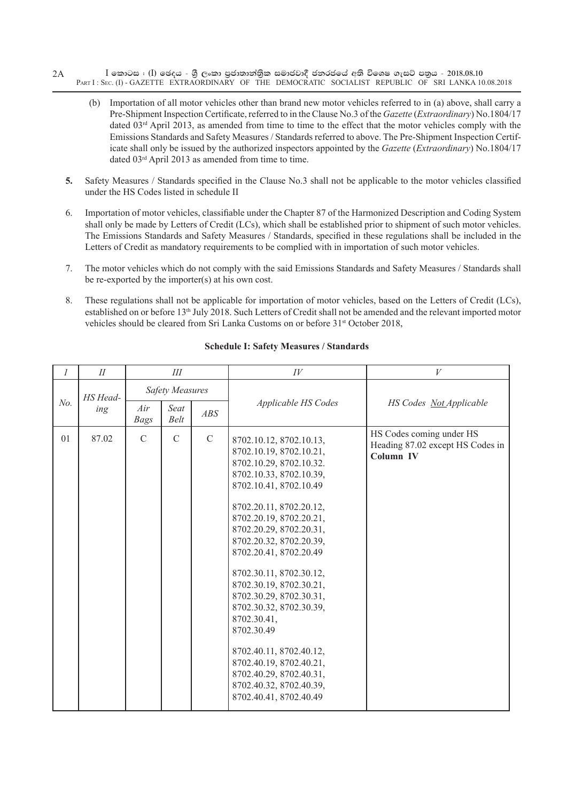- $I$  කොටස : (I) ඡෙදය ශුී ලංකා පුජාතාන්තිුක සමාජවාදී ජනරජයේ අති විශෙෂ ගැසට් පතුය 2018.08.10 PART I: SEC. (I) - GAZETTE EXTRAORDINARY OF THE DEMOCRATIC SOCIALIST REPUBLIC OF SRI LANKA 10.08.2018 2A
	- (b) Importation of all motor vehicles other than brand new motor vehicles referred to in (a) above, shall carry a Pre-Shipment Inspection Certificate, referred to in the Clause No.3 of the *Gazette* (*Extraordinary*) No.1804/17 dated  $03<sup>rd</sup>$  April 2013, as amended from time to time to the effect that the motor vehicles comply with the Emissions Standards and Safety Measures / Standards referred to above. The Pre-Shipment Inspection Certificate shall only be issued by the authorized inspectors appointed by the *Gazette* (*Extraordinary*) No.1804/17 dated 03rd April 2013 as amended from time to time.
	- 5. Safety Measures / Standards specified in the Clause No.3 shall not be applicable to the motor vehicles classified under the HS Codes listed in schedule II
	- 6. Importation of motor vehicles, classifiable under the Chapter 87 of the Harmonized Description and Coding System shall only be made by Letters of Credit (LCs), which shall be established prior to shipment of such motor vehicles. The Emissions Standards and Safety Measures / Standards, specified in these regulations shall be included in the Letters of Credit as mandatory requirements to be complied with in importation of such motor vehicles.
	- 7. The motor vehicles which do not comply with the said Emissions Standards and Safety Measures / Standards shall be re-exported by the importer(s) at his own cost.
	- 8. These regulations shall not be applicable for importation of motor vehicles, based on the Letters of Credit (LCs), established on or before 13th July 2018. Such Letters of Credit shall not be amended and the relevant imported motor vehicles should be cleared from Sri Lanka Customs on or before  $31<sup>st</sup>$  October 2018,

| 1   | $I\!I$          | Ш                      |                     |             | $I\hspace{-.1em}V$                                                                                                                                                                                                                                                                                                                                                                                                                                                                                                                                      | V                                                                         |
|-----|-----------------|------------------------|---------------------|-------------|---------------------------------------------------------------------------------------------------------------------------------------------------------------------------------------------------------------------------------------------------------------------------------------------------------------------------------------------------------------------------------------------------------------------------------------------------------------------------------------------------------------------------------------------------------|---------------------------------------------------------------------------|
| No. | HS Head-<br>ing | <b>Safety Measures</b> |                     |             |                                                                                                                                                                                                                                                                                                                                                                                                                                                                                                                                                         |                                                                           |
|     |                 | Air<br><b>Bags</b>     | Seat<br><b>Belt</b> | ABS         | Applicable HS Codes                                                                                                                                                                                                                                                                                                                                                                                                                                                                                                                                     | HS Codes Not Applicable                                                   |
| 01  | 87.02           | $\mathcal{C}$          | $\mathcal{C}$       | $\mathbf C$ | 8702.10.12, 8702.10.13,<br>8702.10.19, 8702.10.21,<br>8702.10.29, 8702.10.32.<br>8702.10.33, 8702.10.39,<br>8702.10.41, 8702.10.49<br>8702.20.11, 8702.20.12,<br>8702.20.19, 8702.20.21,<br>8702.20.29, 8702.20.31,<br>8702.20.32, 8702.20.39,<br>8702.20.41, 8702.20.49<br>8702.30.11, 8702.30.12,<br>8702.30.19, 8702.30.21,<br>8702.30.29, 8702.30.31,<br>8702.30.32, 8702.30.39,<br>8702.30.41,<br>8702.30.49<br>8702.40.11, 8702.40.12,<br>8702.40.19, 8702.40.21,<br>8702.40.29, 8702.40.31,<br>8702.40.32, 8702.40.39,<br>8702.40.41, 8702.40.49 | HS Codes coming under HS<br>Heading 87.02 except HS Codes in<br>Column IV |

#### **Schedule I: Safety Measures / Standards**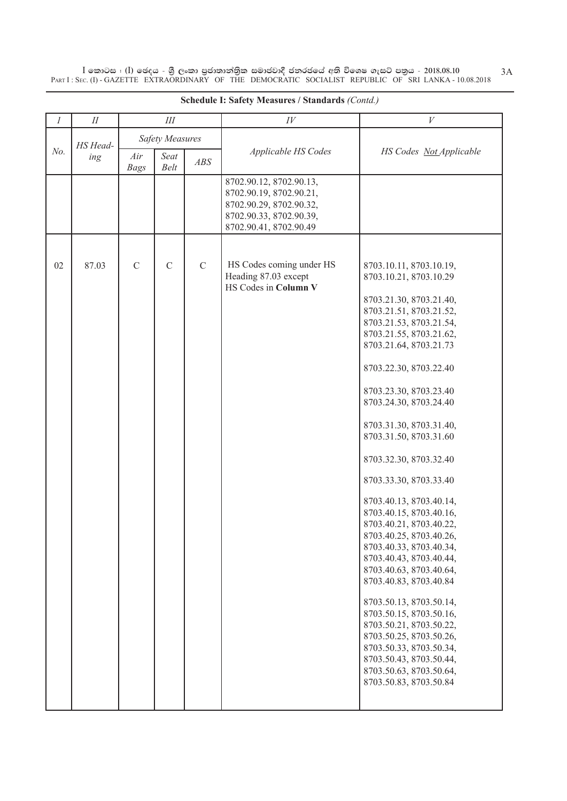$\overline{\rm I}$  කොටස : ( $\overline{\rm I}$ ) ඡෙදය - ශුී ලංකා පුජාතාන්තිුක සමාජවාදී ජනරජයේ අති විශෙෂ ගැසට් පතුය - 2018.08.10 PART I : SEC. (I) - GAZETTE EXTRAORDINARY OF THE DEMOCRATIC SOCIALIST REPUBLIC OF SRI LANKA - 10.08.2018

| $\mathcal{I}$ | $I\!I$          | III                    |               |             | $I\hspace{-.1em}V$                                                                                                                 | V                                                                                                                                                                                                                                                                                                                                                                                                                                                                                                                                                                                                                                 |
|---------------|-----------------|------------------------|---------------|-------------|------------------------------------------------------------------------------------------------------------------------------------|-----------------------------------------------------------------------------------------------------------------------------------------------------------------------------------------------------------------------------------------------------------------------------------------------------------------------------------------------------------------------------------------------------------------------------------------------------------------------------------------------------------------------------------------------------------------------------------------------------------------------------------|
| No.           | HS Head-<br>ing | <b>Safety Measures</b> |               |             |                                                                                                                                    |                                                                                                                                                                                                                                                                                                                                                                                                                                                                                                                                                                                                                                   |
|               |                 | Air<br><b>Bags</b>     | Seat<br>Belt  | ABS         | Applicable HS Codes                                                                                                                | HS Codes Not Applicable                                                                                                                                                                                                                                                                                                                                                                                                                                                                                                                                                                                                           |
|               |                 |                        |               |             | 8702.90.12, 8702.90.13,<br>8702.90.19, 8702.90.21,<br>8702.90.29, 8702.90.32,<br>8702.90.33, 8702.90.39,<br>8702.90.41, 8702.90.49 |                                                                                                                                                                                                                                                                                                                                                                                                                                                                                                                                                                                                                                   |
|               |                 |                        |               |             |                                                                                                                                    |                                                                                                                                                                                                                                                                                                                                                                                                                                                                                                                                                                                                                                   |
| 02            | 87.03           | $\mathbf C$            | $\mathcal{C}$ | $\mathbf C$ | HS Codes coming under HS<br>Heading 87.03 except                                                                                   | 8703.10.11, 8703.10.19,<br>8703.10.21, 8703.10.29                                                                                                                                                                                                                                                                                                                                                                                                                                                                                                                                                                                 |
|               |                 |                        |               |             | HS Codes in Column V                                                                                                               | 8703.21.30, 8703.21.40,<br>8703.21.51, 8703.21.52,<br>8703.21.53, 8703.21.54,<br>8703.21.55, 8703.21.62,<br>8703.21.64, 8703.21.73<br>8703.22.30, 8703.22.40<br>8703.23.30, 8703.23.40<br>8703.24.30, 8703.24.40<br>8703.31.30, 8703.31.40,<br>8703.31.50, 8703.31.60<br>8703.32.30, 8703.32.40<br>8703.33.30, 8703.33.40<br>8703.40.13, 8703.40.14,<br>8703.40.15, 8703.40.16,<br>8703.40.21, 8703.40.22,<br>8703.40.25, 8703.40.26,<br>8703.40.33, 8703.40.34,<br>8703.40.43, 8703.40.44,<br>8703.40.63, 8703.40.64,<br>8703.40.83, 8703.40.84<br>8703.50.13, 8703.50.14,<br>8703.50.15, 8703.50.16,<br>8703.50.21, 8703.50.22, |
|               |                 |                        |               |             |                                                                                                                                    | 8703.50.25, 8703.50.26,<br>8703.50.33, 8703.50.34,<br>8703.50.43, 8703.50.44,<br>8703.50.63, 8703.50.64,<br>8703.50.83, 8703.50.84                                                                                                                                                                                                                                                                                                                                                                                                                                                                                                |

# **Schedule I: Safety Measures / Standards** *(Contd.)*

3A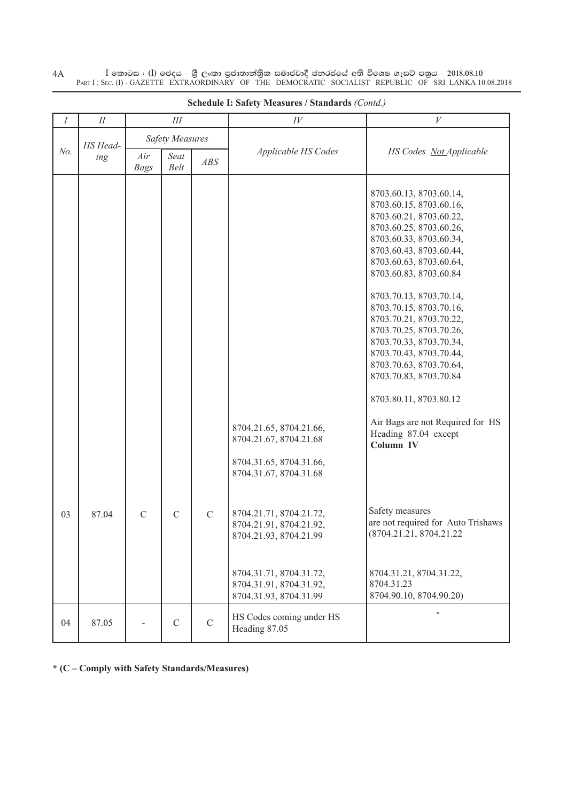$I$  කොටස : (I) ඡෙදය - ශීු ලංකා පුජාතාන්තික සමාජවාදී ජනරජයේ අති විශෙෂ ගැසට් පතුය - 2018.08.10<br>PART I : SEC. (I) - GAZETTE EXTRAORDINARY OF THE DEMOCRATIC SOCIALIST REPUBLIC OF SRI LANKA 10.08.2018  $4A$ 

| $\mathcal{I}$ | П               | III                    |               |               | $I\hspace{-.1em}V$                                                                                                                                           | V                                                                                                                                                                                                                                                                                                                                                                                                                                                                                                                                                                                                      |
|---------------|-----------------|------------------------|---------------|---------------|--------------------------------------------------------------------------------------------------------------------------------------------------------------|--------------------------------------------------------------------------------------------------------------------------------------------------------------------------------------------------------------------------------------------------------------------------------------------------------------------------------------------------------------------------------------------------------------------------------------------------------------------------------------------------------------------------------------------------------------------------------------------------------|
| No.           | HS Head-<br>ing | <b>Safety Measures</b> |               |               |                                                                                                                                                              |                                                                                                                                                                                                                                                                                                                                                                                                                                                                                                                                                                                                        |
|               |                 | Air<br><b>Bags</b>     | Seat<br>Belt  | ABS           | Applicable HS Codes                                                                                                                                          | HS Codes Not Applicable                                                                                                                                                                                                                                                                                                                                                                                                                                                                                                                                                                                |
| 03            | 87.04           | $\mathcal{C}$          | $\mathcal{C}$ | $\mathcal{C}$ | 8704.21.65, 8704.21.66,<br>8704.21.67, 8704.21.68<br>8704.31.65, 8704.31.66,<br>8704.31.67, 8704.31.68<br>8704.21.71, 8704.21.72,<br>8704.21.91, 8704.21.92, | 8703.60.13, 8703.60.14,<br>8703.60.15, 8703.60.16,<br>8703.60.21, 8703.60.22,<br>8703.60.25, 8703.60.26,<br>8703.60.33, 8703.60.34,<br>8703.60.43, 8703.60.44,<br>8703.60.63, 8703.60.64,<br>8703.60.83, 8703.60.84<br>8703.70.13, 8703.70.14,<br>8703.70.15, 8703.70.16,<br>8703.70.21, 8703.70.22,<br>8703.70.25, 8703.70.26,<br>8703.70.33, 8703.70.34,<br>8703.70.43, 8703.70.44,<br>8703.70.63, 8703.70.64,<br>8703.70.83, 8703.70.84<br>8703.80.11, 8703.80.12<br>Air Bags are not Required for HS<br>Heading 87.04 except<br>Column IV<br>Safety measures<br>are not required for Auto Trishaws |
|               |                 |                        |               |               | 8704.21.93, 8704.21.99<br>8704.31.71, 8704.31.72,<br>8704.31.91, 8704.31.92,<br>8704.31.93, 8704.31.99                                                       | (8704.21.21, 8704.21.22)<br>8704.31.21, 8704.31.22,<br>8704.31.23<br>8704.90.10, 8704.90.20)                                                                                                                                                                                                                                                                                                                                                                                                                                                                                                           |
| 04            | 87.05           |                        | $\mathcal{C}$ | $\mathbf C$   | HS Codes coming under HS<br>Heading 87.05                                                                                                                    |                                                                                                                                                                                                                                                                                                                                                                                                                                                                                                                                                                                                        |

Schedule I: Safety Measures / Standards (Contd.)

\* (C - Comply with Safety Standards/Measures)